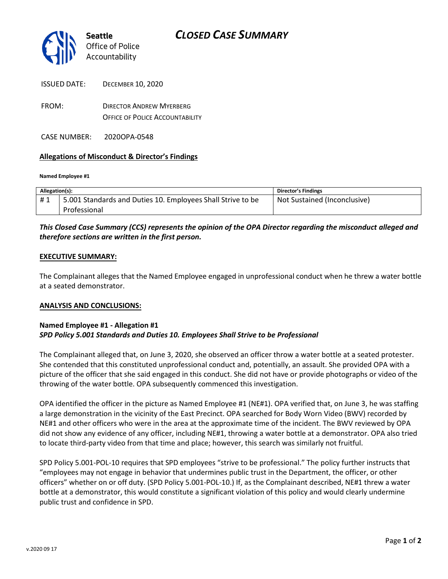

| <b>ISSUED DATE:</b> | <b>DECEMBER 10. 2020</b>        |
|---------------------|---------------------------------|
| FROM:               | <b>DIRECTOR ANDREW MYERBERG</b> |

OFFICE OF POLICE ACCOUNTABILITY

CASE NUMBER: 2020OPA-0548

### **Allegations of Misconduct & Director's Findings**

#### **Named Employee #1**

| Allegation(s): |                                                             | Director's Findings          |
|----------------|-------------------------------------------------------------|------------------------------|
| #1             | 5.001 Standards and Duties 10. Employees Shall Strive to be | Not Sustained (Inconclusive) |
|                | Professional                                                |                              |

## *This Closed Case Summary (CCS) represents the opinion of the OPA Director regarding the misconduct alleged and therefore sections are written in the first person.*

#### **EXECUTIVE SUMMARY:**

The Complainant alleges that the Named Employee engaged in unprofessional conduct when he threw a water bottle at a seated demonstrator.

#### **ANALYSIS AND CONCLUSIONS:**

#### **Named Employee #1 - Allegation #1**  *SPD Policy 5.001 Standards and Duties 10. Employees Shall Strive to be Professional*

The Complainant alleged that, on June 3, 2020, she observed an officer throw a water bottle at a seated protester. She contended that this constituted unprofessional conduct and, potentially, an assault. She provided OPA with a picture of the officer that she said engaged in this conduct. She did not have or provide photographs or video of the throwing of the water bottle. OPA subsequently commenced this investigation.

OPA identified the officer in the picture as Named Employee #1 (NE#1). OPA verified that, on June 3, he was staffing a large demonstration in the vicinity of the East Precinct. OPA searched for Body Worn Video (BWV) recorded by NE#1 and other officers who were in the area at the approximate time of the incident. The BWV reviewed by OPA did not show any evidence of any officer, including NE#1, throwing a water bottle at a demonstrator. OPA also tried to locate third-party video from that time and place; however, this search was similarly not fruitful.

SPD Policy 5.001-POL-10 requires that SPD employees "strive to be professional." The policy further instructs that "employees may not engage in behavior that undermines public trust in the Department, the officer, or other officers" whether on or off duty. (SPD Policy 5.001-POL-10.) If, as the Complainant described, NE#1 threw a water bottle at a demonstrator, this would constitute a significant violation of this policy and would clearly undermine public trust and confidence in SPD.